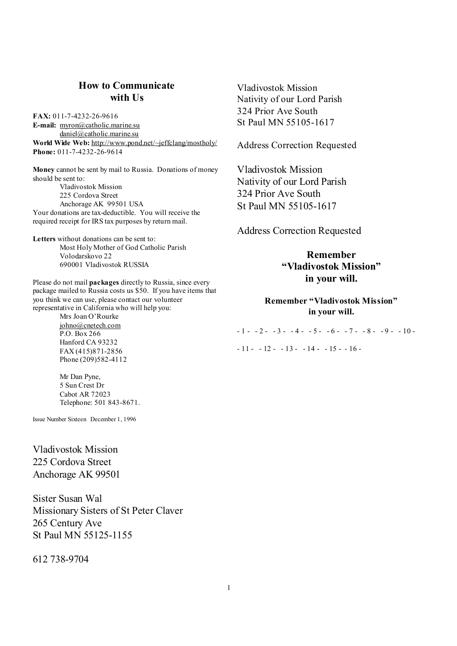# **How to Communicate with Us**

**FAX:** 011-7-4232-26-9616 **E-mail:** [myron@catholic.marine.su](mailto:myron@catholic.marine.su) [daniel@catholic.marine.su](mailto:daniel@catholic.marine.su) **World Wide Web:** <http://www.pond.net/~jeffclang/mostholy/> **Phone:** 011-7-4232-26-9614

**Money** cannot be sent by mail to Russia. Donations of money should be sent to: Vladivostok Mission 225 Cordova Street Anchorage AK 99501 USA Your donations are tax-deductible. You will receive the required receipt for IRS tax purposes by return mail.

**Letters** without donations can be sent to: Most Holy Mother of God Catholic Parish Volodarskovo 22 690001 Vladivostok RUSSIA

Please do not mail **packages** directly to Russia, since every package mailed to Russia costs us \$50. If you have items that you think we can use, please contact our volunteer representative in California who will help you:

Mrs Joan O'Rourke [johno@cnetech.com](mailto:johno@cnetech.com) P.O. Box 266 Hanford CA 93232 FAX (415)871-2856 Phone (209)582-4112

Mr Dan Pyne, 5 Sun Crest Dr Cabot AR 72023 Telephone: 501 843-8671.

Issue Number Sixteen December 1, 1996

Vladivostok Mission 225 Cordova Street Anchorage AK 99501

Sister Susan Wal Missionary Sisters of St Peter Claver 265 Century Ave St Paul MN 55125-1155

612 738-9704

Vladivostok Mission Nativity of our Lord Parish 324 Prior Ave South St Paul MN 55105-1617

Address Correction Requested

Vladivostok Mission Nativity of our Lord Parish 324 Prior Ave South St Paul MN 55105-1617

Address Correction Requested

**Remember "Vladivostok Mission" in your will.** 

**Remember "Vladivostok Mission" in your will.** 

 $-1 - 2 - 3 - 4 - 5 - 6 - 7 - 8 - 9 - 10 - 7$  $-11 - 12 - 13 - 14 - 15 - 16$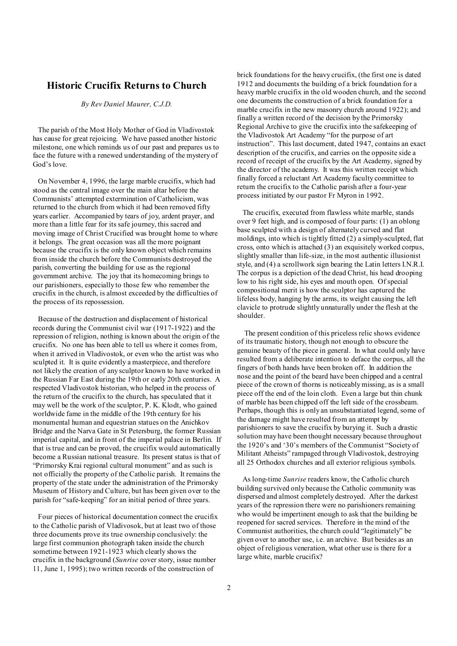# **Historic Crucifix Returns to Church**

*By Rev Daniel Maurer, C.J.D.* 

The parish of the Most Holy Mother of God in Vladivostok has cause for great rejoicing. We have passed another historic milestone, one which reminds us of our past and prepares us to face the future with a renewed understanding of the mystery of God's love.

On November 4, 1996, the large marble crucifix, which had stood as the central image over the main altar before the Communists' attempted extermination of Catholicism, was returned to the church from which it had been removed fifty years earlier. Accompanied by tears of joy, ardent prayer, and more than a little fear for its safe journey, this sacred and moving image of Christ Crucified was brought home to where it belongs. The great occasion was all the more poignant because the crucifix is the only known object which remains from inside the church before the Communists destroyed the parish, converting the building for use as the regional government archive. The joy that its homecoming brings to our parishioners, especially to those few who remember the crucifix in the church, is almost exceeded by the difficulties of the process of its repossession.

Because of the destruction and displacement of historical records during the Communist civil war (1917-1922) and the repression of religion, nothing is known about the origin of the crucifix. No one has been able to tell us where it comes from, when it arrived in Vladivostok, or even who the artist was who sculpted it. It is quite evidently a masterpiece, and therefore not likely the creation of any sculptor known to have worked in the Russian Far East during the 19th or early 20th centuries. A respected Vladivostok historian, who helped in the process of the return of the crucifix to the church, has speculated that it may well be the work of the sculptor, P. K. Klodt, who gained worldwide fame in the middle of the 19th century for his monumental human and equestrian statues on the Anichkov Bridge and the Narva Gate in St Petersburg, the former Russian imperial capital, and in front of the imperial palace in Berlin. If that is true and can be proved, the crucifix would automatically become a Russian national treasure. Its present status is that of "Primorsky Krai regional cultural monument" and as such is not officially the property of the Catholic parish. It remains the property of the state under the administration of the Primorsky Museum of History and Culture, but has been given over to the parish for "safe-keeping" for an initial period of three years.

Four pieces of historical documentation connect the crucifix to the Catholic parish of Vladivosok, but at least two of those three documents prove its true ownership conclusively: the large first communion photograph taken inside the church sometime between 1921-1923 which clearly shows the crucifix in the background (*Sunrise* cover story, issue number 11, June 1, 1995); two written records of the construction of

brick foundations for the heavy crucifix, (the first one is dated 1912 and documents the building of a brick foundation for a heavy marble crucifix in the old wooden church, and the second one documents the construction of a brick foundation for a marble crucifix in the new masonry church around 1922); and finally a written record of the decision by the Primorsky Regional Archive to give the crucifix into the safekeeping of the Vladivostok Art Academy "for the purpose of art instruction". This last document, dated 1947, contains an exact description of the crucifix, and carries on the opposite side a record of receipt of the crucifix by the Art Academy, signed by the director of the academy. It was this written receipt which finally forced a reluctant Art Academy faculty committee to return the crucifix to the Catholic parish after a four-year process initiated by our pastor Fr Myron in 1992.

 The crucifix, executed from flawless white marble, stands over 9 feet high, and is composed of four parts: (1) an oblong base sculpted with a design of alternately curved and flat moldings, into which is tightly fitted (2) a simply-sculpted, flat cross, onto which is attached (3) an exquisitely worked corpus, slightly smaller than life-size, in the most authentic illusionist style, and (4) a scrollwork sign bearing the Latin letters I.N.R.I. The corpus is a depiction of the dead Christ, his head drooping low to his right side, his eyes and mouth open. Of special compositional merit is how the sculptor has captured the lifeless body, hanging by the arms, its weight causing the left clavicle to protrude slightly unnaturally under the flesh at the shoulder.

 The present condition of this priceless relic shows evidence of its traumatic history, though not enough to obscure the genuine beauty of the piece in general. In what could only have resulted from a deliberate intention to deface the corpus, all the fingers of both hands have been broken off. In addition the nose and the point of the beard have been chipped and a central piece of the crown of thorns is noticeablymissing, as is a small piece off the end of the loin cloth. Even a large but thin chunk of marble has been chipped off the left side of the crossbeam. Perhaps, though this is only an unsubstantiated legend, some of the damage might have resulted from an attempt by parishioners to save the crucifix by burying it. Such a drastic solution may have been thought necessary because throughout the 1920's and '30's members of the Communist "Society of Militant Atheists" rampaged through Vladivostok, destroying all 25 Orthodox churches and all exterior religious symbols.

 As long-time *Sunrise* readers know, the Catholic church building survived only because the Catholic community was dispersed and almost completely destroyed. After the darkest years of the repression there were no parishioners remaining who would be impertinent enough to ask that the building be reopened for sacred services. Therefore in the mind of the Communist authorities, the church could "legitimately" be given over to another use, i.e. an archive. But besides as an object of religious veneration, what other use is there for a large white, marble crucifix?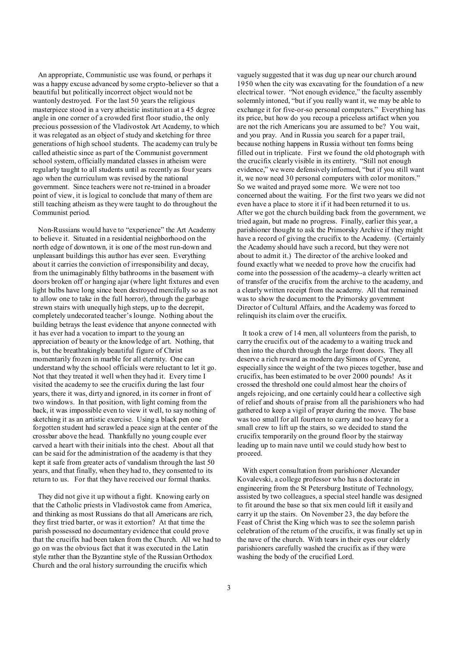An appropriate, Communistic use was found, or perhaps it was a happy excuse advanced by some crypto-believer so that a beautiful but politically incorrect object would not be wantonly destroyed. For the last 50 years the religious masterpiece stood in a very atheistic institution at a 45 degree angle in one corner of a crowded first floor studio, the only precious possession of the Vladivostok Art Academy, to which it was relegated as an object of study and sketching for three generations of high school students. The academy can truly be called atheistic since as part of the Communist government school system, officiallymandated classes in atheism were regularly taught to all students until as recently as four years ago when the curriculum was revised by the national government. Since teachers were not re-trained in a broader point of view, it is logical to conclude that many of them are still teaching atheism as they were taught to do throughout the Communist period.

Non-Russians would have to "experience" the Art Academy to believe it. Situated in a residential neighborhood on the north edge of downtown, it is one of the most run-down and unpleasant buildings this author has ever seen. Everything about it carries the conviction of irresponsibility and decay, from the unimaginably filthy bathrooms in the basement with doors broken off or hanging ajar (where light fixtures and even light bulbs have long since been destroyed mercifully so as not to allow one to take in the full horror), through the garbage strewn stairs with unequally high steps, up to the decrepit, completely undecorated teacher's lounge. Nothing about the building betrays the least evidence that anyone connected with it has ever had a vocation to impart to the young an appreciation of beauty or the knowledge of art. Nothing, that is, but the breathtakingly beautiful figure of Christ momentarily frozen in marble for all eternity. One can understand why the school officials were reluctant to let it go. Not that they treated it well when they had it. Every time I visited the academy to see the crucifix during the last four years, there it was, dirty and ignored, in its corner in front of two windows. In that position, with light coming from the back, it was impossible even to view it well, to say nothing of sketching it as an artistic exercise. Using a black pen one forgotten student had scrawled a peace sign at the center of the crossbar above the head. Thankfully no young couple ever carved a heart with their initials into the chest. About all that can be said for the administration of the academy is that they kept it safe from greater acts of vandalism through the last 50 years, and that finally, when they had to, they consented to its return to us. For that they have received our formal thanks.

They did not give it up without a fight. Knowing early on that the Catholic priests in Vladivostok came from America, and thinking as most Russians do that all Americans are rich, they first tried barter, or was it extortion? At that time the parish possessed no documentary evidence that could prove that the crucifix had been taken from the Church. All we had to go on was the obvious fact that it was executed in the Latin style rather than the Byzantine style of the Russian Orthodox Church and the oral history surrounding the crucifix which

vaguely suggested that it was dug up near our church around 1950 when the city was excavating for the foundation of a new electrical tower. "Not enough evidence," the faculty assembly solemnly intoned, "but if you really want it, we may be able to exchange it for five-or-so personal computers." Everything has its price, but how do you recoup a priceless artifact when you are not the rich Americans you are assumed to be? You wait, and you pray. And in Russia you search for a paper trail, because nothing happens in Russia without ten forms being filled out in triplicate. First we found the old photograph with the crucifix clearly visible in its entirety. "Still not enough evidence," we were defensively informed, "but if you still want it, we now need 30 personal computers with color monitors." So we waited and prayed some more. We were not too concerned about the waiting. For the first two years we did not even have a place to store it if it had been returned it to us. After we got the church building back from the government, we tried again, but made no progress. Finally, earlier this year, a parishioner thought to ask the Primorsky Archive if they might have a record of giving the crucifix to the Academy. (Certainly the Academy should have such a record, but they were not about to admit it.) The director of the archive looked and found exactly what we needed to prove how the crucifix had come into the possession of the academy--a clearly written act of transfer of the crucifix from the archive to the academy, and a clearly written receipt from the academy. All that remained was to show the document to the Primorsky government Director of Cultural Affairs, and the Academy was forced to relinquish its claim over the crucifix.

 It took a crew of 14 men, all volunteers from the parish, to carry the crucifix out of the academy to a waiting truck and then into the church through the large front doors. They all deserve a rich reward as modern day Simons of Cyrene, especially since the weight of the two pieces together, base and crucifix, has been estimated to be over 2000 pounds! As it crossed the threshold one could almost hear the choirs of angels rejoicing, and one certainly could hear a collective sigh of relief and shouts of praise from all the parishioners who had gathered to keep a vigil of prayer during the move. The base was too small for all fourteen to carry and too heavy for a small crew to lift up the stairs, so we decided to stand the crucifix temporarily on the ground floor by the stairway leading up to main nave until we could study how best to proceed.

 With expert consultation from parishioner Alexander Kovalevski, a college professor who has a doctorate in engineering from the St Petersburg Institute of Technology, assisted by two colleagues, a special steel handle was designed to fit around the base so that six men could lift it easily and carry it up the stairs. On November 23, the day before the Feast of Christ the King which was to see the solemn parish celebration of the return of the crucifix, it was finally set up in the nave of the church. With tears in their eyes our elderly parishioners carefully washed the crucifix as if they were washing the body of the crucified Lord.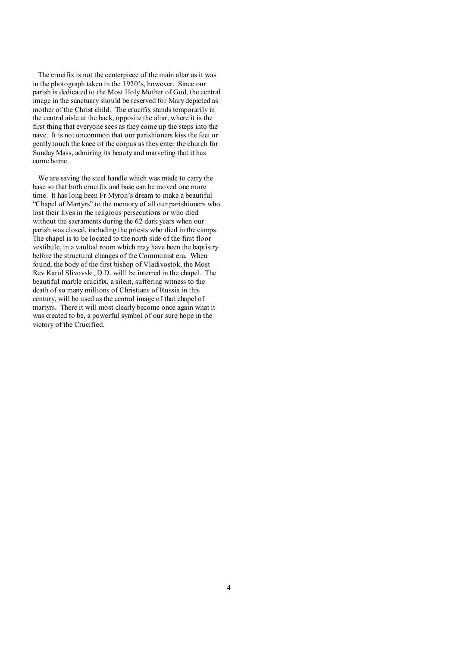The crucifix is not the centerpiece of the main altar as it was in the photograph taken in the 1920's, however. Since our parish is dedicated to the Most Holy Mother of God, the central image in the sanctuary should be reserved for Mary depicted as mother of the Christ child. The crucifix stands temporarily in the central aisle at the back, opposite the altar, where it is the first thing that everyone sees as they come up the steps into the nave. It is not uncommon that our parishioners kiss the feet or gently touch the knee of the corpus as they enter the church for Sunday Mass, admiring its beauty and marveling that it has come home.

We are saving the steel handle which was made to carry the base so that both crucifix and base can be moved one more time. It has long been Fr Myron's dream to make a beautiful "Chapel of Martyrs" to the memory of all our parishioners who lost their lives in the religious persecutions or who died without the sacraments during the 62 dark years when our parish was closed, including the priests who died in the camps. The chapel is to be located to the north side of the first floor vestibule, in a vaulted room which may have been the baptistry before the structural changes of the Communist era. When found, the body of the first bishop of Vladivostok, the Most Rev Karol Slivovski, D.D. willl be interred in the chapel. The beautiful marble crucifix, a silent, suffering witness to the death of so many millions of Christians of Russia in this century, will be used as the central image of that chapel of martyrs. There it will most clearly become once again what it was created to be, a powerful symbol of our sure hope in the victory of the Crucified.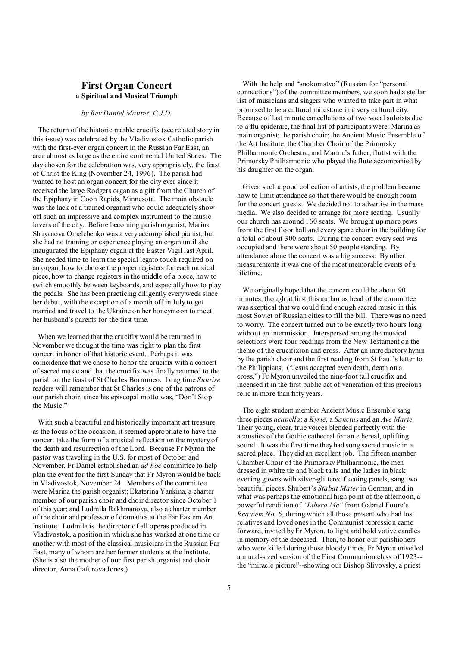# **First Organ Concert a Spiritual and Musical Triumph**

#### *by Rev Daniel Maurer, C.J.D.*

The return of the historic marble crucifix (see related story in this issue) was celebrated by the Vladivostok Catholic parish with the first-ever organ concert in the Russian Far East, an area almost as large as the entire continental United States. The day chosen for the celebration was, very appropriately, the feast of Christ the King (November 24, 1996). The parish had wanted to host an organ concert for the city ever since it received the large Rodgers organ as a gift from the Church of the Epiphany in Coon Rapids, Minnesota. The main obstacle was the lack of a trained organist who could adequately show off such an impressive and complex instrument to the music lovers of the city. Before becoming parish organist, Marina Shuyanova Omelchenko was a very accomplished pianist, but she had no training or experience playing an organ until she inaugurated the Epiphany organ at the Easter Vigil last April. She needed time to learn the special legato touch required on an organ, how to choose the proper registers for each musical piece, how to change registers in the middle of a piece, how to switch smoothly between keyboards, and especially how to play the pedals. She has been practicing diligently every week since her debut, with the exception of a month off in July to get married and travel to the Ukraine on her honeymoon to meet her husband's parents for the first time.

When we learned that the crucifix would be returned in November we thought the time was right to plan the first concert in honor of that historic event. Perhaps it was coincidence that we chose to honor the crucifix with a concert of sacred music and that the crucifix was finally returned to the parish on the feast of St Charles Borromeo. Long time *Sunrise* readers will remember that St Charles is one of the patrons of our parish choir, since his episcopal motto was, "Don't Stop the Music!"

With such a beautiful and historically important art treasure as the focus of the occasion, it seemed appropriate to have the concert take the form of a musical reflection on the mystery of the death and resurrection of the Lord. Because Fr Myron the pastor was traveling in the U.S. for most of October and November, Fr Daniel established an *ad hoc* committee to help plan the event for the first Sunday that Fr Myron would be back in Vladivostok, November 24. Members of the committee were Marina the parish organist; Ekaterina Yankina, a charter member of our parish choir and choir director since October 1 of this year; and Ludmila Rakhmanova, also a charter member of the choir and professor of dramatics at the Far Eastern Art Institute. Ludmila is the director of all operas produced in Vladivostok, a position in which she has worked at one time or another with most of the classical musicians in the Russian Far East, many of whom are her former students at the Institute. (She is also the mother of our first parish organist and choir director, Anna Gafurova Jones.)

 With the help and "snokomstvo" (Russian for "personal connections") of the committee members, we soon had a stellar list of musicians and singers who wanted to take part in what promised to be a cultural milestone in a very cultural city. Because of last minute cancellations of two vocal soloists due to a flu epidemic, the final list of participants were: Marina as main organist; the parish choir; the Ancient Music Ensemble of the Art Institute; the Chamber Choir of the Primorsky Philharmonic Orchestra; and Marina's father, flutist with the Primorsky Philharmonic who played the flute accompanied by his daughter on the organ.

 Given such a good collection of artists, the problem became how to limit attendance so that there would be enough room for the concert guests. We decided not to advertise in the mass media. We also decided to arrange for more seating. Usually our church has around 160 seats. We brought up more pews from the first floor hall and every spare chair in the building for a total of about 300 seats. During the concert every seat was occupied and there were about 50 people standing. By attendance alone the concert was a big success. By other measurements it was one of the most memorable events of a lifetime.

 We originally hoped that the concert could be about 90 minutes, though at first this author as head of the committee was skeptical that we could find enough sacred music in this most Soviet of Russian cities to fill the bill. There was no need to worry. The concert turned out to be exactly two hours long without an intermission. Interspersed among the musical selections were four readings from the New Testament on the theme of the crucifixion and cross. After an introductory hymn by the parish choir and the first reading from St Paul's letter to the Philippians, ("Jesus accepted even death, death on a cross,") Fr Myron unveiled the nine-foot tall crucifix and incensed it in the first public act of veneration of this precious relic in more than fifty years.

 The eight student member Ancient Music Ensemble sang three pieces *acapella*: a *Kyrie*, a *Sanctus* and an *Ave Marie*. Their young, clear, true voices blended perfectly with the acoustics of the Gothic cathedral for an ethereal, uplifting sound. It was the first time they had sung sacred music in a sacred place. They did an excellent job. The fifteen member Chamber Choir of the Primorsky Philharmonic, the men dressed in white tie and black tails and the ladies in black evening gowns with silver-glittered floating panels, sang two beautiful pieces, Shubert's *Stabat Mater* in German, and in what was perhaps the emotional high point of the afternoon, a powerful rendition of *"Libera Me"* from Gabriel Foure's *Requiem No. 6*, during which all those present who had lost relatives and loved ones in the Communist repression came forward, invited by Fr Myron, to light and hold votive candles in memory of the deceased. Then, to honor our parishioners who were killed during those bloody times, Fr Myron unveiled a mural-sized version of the First Communion class of 1923- the "miracle picture"--showing our Bishop Slivovsky, a priest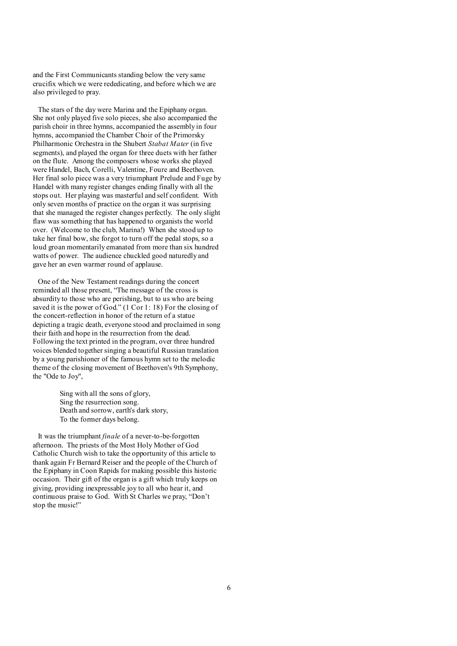and the First Communicants standing below the very same crucifix which we were rededicating, and before which we are also privileged to pray.

The stars of the day were Marina and the Epiphany organ. She not only played five solo pieces, she also accompanied the parish choir in three hymns, accompanied the assembly in four hymns, accompanied the Chamber Choir of the Primorsky Philharmonic Orchestra in the Shubert *Stabat Mater* (in five segments), and played the organ for three duets with her father on the flute. Among the composers whose works she played were Handel, Bach, Corelli, Valentine, Foure and Beethoven. Her final solo piece was a very triumphant Prelude and Fuge by Handel with many register changes ending finally with all the stops out. Her playing was masterful and self confident. With only seven months of practice on the organ it was surprising that she managed the register changes perfectly. The only slight flaw was something that has happened to organists the world over. (Welcome to the club, Marina!) When she stood up to take her final bow, she forgot to turn off the pedal stops, so a loud groan momentarily emanated from more than six hundred watts of power. The audience chuckled good naturedly and gave her an even warmer round of applause.

One of the New Testament readings during the concert reminded all those present, "The message of the cross is absurdity to those who are perishing, but to us who are being saved it is the power of God." (1 Cor 1: 18) For the closing of the concert-reflection in honor of the return of a statue depicting a tragic death, everyone stood and proclaimed in song their faith and hope in the resurrection from the dead. Following the text printed in the program, over three hundred voices blended together singing a beautiful Russian translation by a young parishioner of the famous hymn set to the melodic theme of the closing movement of Beethoven's 9th Symphony, the "Ode to Joy",

> Sing with all the sons of glory, Sing the resurrection song. Death and sorrow, earth's dark story, To the former days belong.

It was the triumphant *finale* of a never-to-be-forgotten afternoon. The priests of the Most Holy Mother of God Catholic Church wish to take the opportunity of this article to thank again Fr Bernard Reiser and the people of the Church of the Epiphany in Coon Rapids for making possible this historic occasion. Their gift of the organ is a gift which truly keeps on giving, providing inexpressable joy to all who hear it, and continuous praise to God. With St Charles we pray, "Don't stop the music!"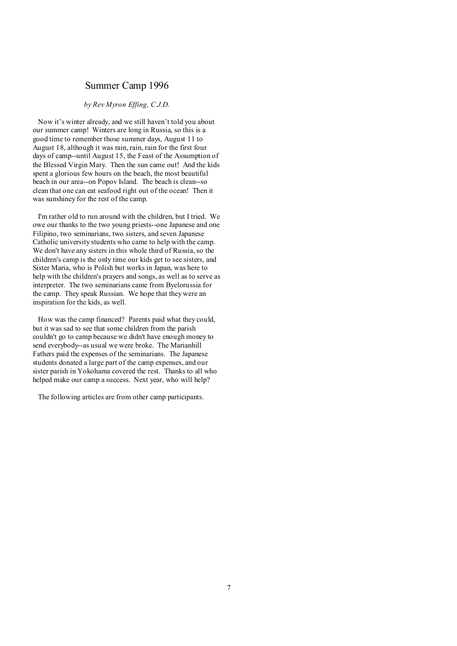# Summer Camp 1996

### *by Rev Myron Effing, C.J.D.*

Now it's winter already, and we still haven't told you about our summer camp! Winters are long in Russia, so this is a good time to remember those summer days, August 11 to August 18, although it was rain, rain, rain for the first four days of camp--until August 15, the Feast of the Assumption of the Blessed Virgin Mary. Then the sun came out! And the kids spent a glorious few hours on the beach, the most beautiful beach in our area--on Popov Island. The beach is clean--so clean that one can eat seafood right out of the ocean! Then it was sunshiney for the rest of the camp.

I'm rather old to run around with the children, but I tried. We owe our thanks to the two young priests--one Japanese and one Filipino, two seminarians, two sisters, and seven Japanese Catholic university students who came to help with the camp. We don't have any sisters in this whole third of Russia, so the children's camp is the only time our kids get to see sisters, and Sister Maria, who is Polish but works in Japan, was here to help with the children's prayers and songs, as well as to serve as interpreter. The two seminarians came from Byelorussia for the camp. They speak Russian. We hope that they were an inspiration for the kids, as well.

How was the camp financed? Parents paid what they could, but it was sad to see that some children from the parish couldn't go to camp because we didn't have enough money to send everybody--as usual we were broke. The Marianhill Fathers paid the expenses of the seminarians. The Japanese students donated a large part of the camp expenses, and our sister parish in Yokohama covered the rest. Thanks to all who helped make our camp a success. Next year, who will help?

The following articles are from other camp participants.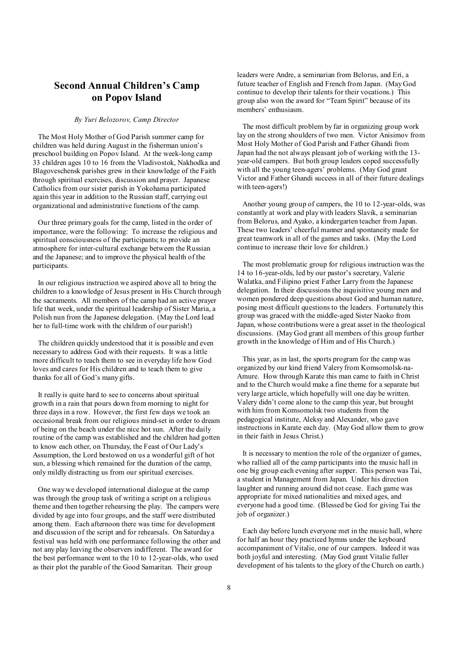# **Second Annual Children's Camp on Popov Island**

#### *By Yuri Belozorov, Camp Director*

The Most Holy Mother of God Parish summer camp for children was held during August in the fisherman union's preschool building on Popov Island. At the week-long camp 33 children ages 10 to 16 from the Vladivostok, Nakhodka and Blagoveschensk parishes grew in their knowledge of the Faith through spiritual exercises, discussion and prayer. Japanese Catholics from our sister parish in Yokohama participated again this year in addition to the Russian staff, carrying out organizational and administrative functions of the camp.

Our three primary goals for the camp, listed in the order of importance, were the following: To increase the religious and spiritual consciousness of the participants; to provide an atmosphere for inter-cultural exchange between the Russian and the Japanese; and to improve the physical health of the participants.

In our religious instruction we aspired above all to bring the children to a knowledge of Jesus present in His Church through the sacraments. All members of the camp had an active prayer life that week, under the spiritual leadership of Sister Maria, a Polish nun from the Japanese delegation. (May the Lord lead her to full-time work with the children of our parish!)

The children quickly understood that it is possible and even necessary to address God with their requests. It was a little more difficult to teach them to see in everyday life how God loves and cares for His children and to teach them to give thanks for all of God's many gifts.

It really is quite hard to see to concerns about spiritual growth in a rain that pours down from morning to night for three days in a row. However, the first few days we took an occasional break from our religious mind-set in order to dream of being on the beach under the nice hot sun. After the daily routine of the camp was established and the children had gotten to know each other, on Thursday, the Feast of Our Lady's Assumption, the Lord bestowed on us a wonderful gift of hot sun, a blessing which remained for the duration of the camp, only mildly distracting us from our spiritual exercises.

One way we developed international dialogue at the camp was through the group task of writing a script on a religious theme and then together rehearsing the play. The campers were divided by age into four groups, and the staff were distributed among them. Each afternoon there was time for development and discussion of the script and for rehearsals. On Saturday a festival was held with one performance following the other and not any play leaving the observers indifferent. The award for the best performance went to the 10 to 12-year-olds, who used as their plot the parable of the Good Samaritan. Their group

leaders were Andre, a seminarian from Belorus, and Eri, a future teacher of English and French from Japan. (May God continue to develop their talents for their vocations.) This group also won the award for "Team Spirit" because of its members' enthusiasm.

 The most difficult problem by far in organizing group work lay on the strong shoulders of two men. Victor Anisimov from Most Holy Mother of God Parish and Father Ghandi from Japan had the not always pleasant job of working with the 13 year-old campers. But both group leaders coped successfully with all the young teen-agers' problems. (May God grant Victor and Father Ghandi success in all of their future dealings with teen-agers!)

 Another young group of campers, the 10 to 12-year-olds, was constantly at work and play with leaders Slavik, a seminarian from Belorus, and Ayako, a kindergarten teacher from Japan. These two leaders' cheerful manner and spontaneity made for great teamwork in all of the games and tasks. (May the Lord continue to increase their love for children.)

 The most problematic group for religious instruction was the 14 to 16-year-olds, led by our pastor's secretary, Valerie Walatka, and Filipino priest Father Larry from the Japanese delegation. In their discussions the inquisitive young men and women pondered deep questions about God and human nature, posing most difficult questions to the leaders. Fortunately this group was graced with the middle-aged Sister Naoko from Japan, whose contributions were a great asset in the theological discussions. (May God grant all members of this group further growth in the knowledge of Him and of His Church.)

 This year, as in last, the sports program for the camp was organized by our kind friend Valery from Komsomolsk-na-Amure. How through Karate this man came to faith in Christ and to the Church would make a fine theme for a separate but very large article, which hopefully will one day be written. Valery didn't come alone to the camp this year, but brought with him from Komsomolsk two students from the pedagogical institute, Aleksy and Alexander, who gave instructions in Karate each day. (May God allow them to grow in their faith in Jesus Christ.)

 It is necessary to mention the role of the organizer of games, who rallied all of the camp participants into the music hall in one big group each evening after supper. This person was Tai, a student in Management from Japan. Under his direction laughter and running around did not cease. Each game was appropriate for mixed nationalities and mixed ages, and everyone had a good time. (Blessed be God for giving Tai the job of organizer.)

 Each day before lunch everyone met in the music hall, where for half an hour they practiced hymns under the keyboard accompaniment of Vitalie, one of our campers. Indeed it was both joyful and interesting. (May God grant Vitalie fuller development of his talents to the glory of the Church on earth.)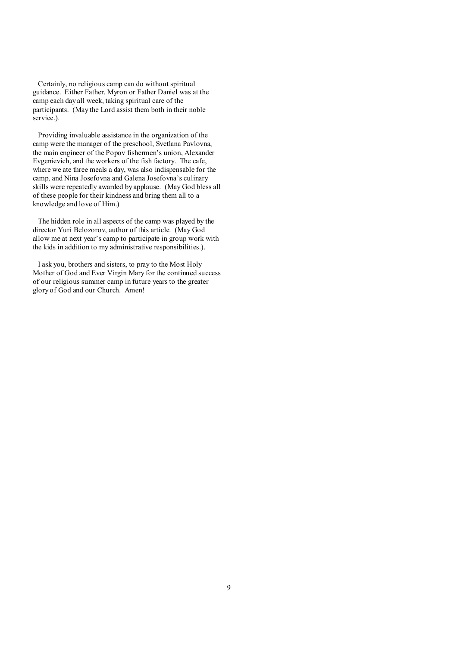Certainly, no religious camp can do without spiritual guidance. Either Father. Myron or Father Daniel was at the camp each day all week, taking spiritual care of the participants. (May the Lord assist them both in their noble service.).

Providing invaluable assistance in the organization of the camp were the manager of the preschool, Svetlana Pavlovna, the main engineer of the Popov fishermen's union, Alexander Evgenievich, and the workers of the fish factory. The cafe, where we ate three meals a day, was also indispensable for the camp, and Nina Josefovna and Galena Josefovna's culinary skills were repeatedly awarded by applause. (May God bless all of these people for their kindness and bring them all to a knowledge and love of Him.)

The hidden role in all aspects of the camp was played by the director Yuri Belozorov, author of this article. (May God allow me at next year's camp to participate in group work with the kids in addition to my administrative responsibilities.).

I ask you, brothers and sisters, to pray to the Most Holy Mother of God and Ever Virgin Mary for the continued success of our religious summer camp in future years to the greater glory of God and our Church. Amen!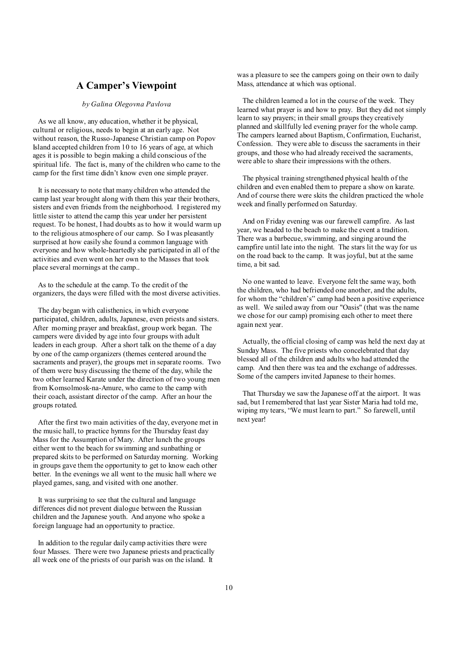# **A Camper's Viewpoint**

### *by Galina Olegovna Pavlova*

As we all know, any education, whether it be physical, cultural or religious, needs to begin at an early age. Not without reason, the Russo-Japanese Christian camp on Popov Island accepted children from 10 to 16 years of age, at which ages it is possible to begin making a child conscious of the spiritual life. The fact is, many of the children who came to the camp for the first time didn't know even one simple prayer.

It is necessary to note that many children who attended the camp last year brought along with them this year their brothers, sisters and even friends from the neighborhood. I registered my little sister to attend the camp this year under her persistent request. To be honest, I had doubts as to how it would warm up to the religious atmosphere of our camp. So I was pleasantly surprised at how easily she found a common language with everyone and how whole-heartedly she participated in all of the activities and even went on her own to the Masses that took place several mornings at the camp..

As to the schedule at the camp. To the credit of the organizers, the days were filled with the most diverse activities.

The day began with calisthenics, in which everyone participated, children, adults, Japanese, even priests and sisters. After morning prayer and breakfast, group work began. The campers were divided by age into four groups with adult leaders in each group. After a short talk on the theme of a day by one of the camp organizers (themes centered around the sacraments and prayer), the groups met in separate rooms. Two of them were busy discussing the theme of the day, while the two other learned Karate under the direction of two young men from Komsolmosk-na-Amure, who came to the camp with their coach, assistant director of the camp. After an hour the groups rotated.

After the first two main activities of the day, everyone met in the music hall, to practice hymns for the Thursday feast day Mass for the Assumption of Mary. After lunch the groups either went to the beach for swimming and sunbathing or prepared skits to be performed on Saturday morning. Working in groups gave them the opportunity to get to know each other better. In the evenings we all went to the music hall where we played games, sang, and visited with one another.

It was surprising to see that the cultural and language differences did not prevent dialogue between the Russian children and the Japanese youth. And anyone who spoke a foreign language had an opportunity to practice.

In addition to the regular daily camp activities there were four Masses. There were two Japanese priests and practically all week one of the priests of our parish was on the island. It

was a pleasure to see the campers going on their own to daily Mass, attendance at which was optional.

 The children learned a lot in the course of the week. They learned what prayer is and how to pray. But they did not simply learn to say prayers; in their small groups they creatively planned and skillfully led evening prayer for the whole camp. The campers learned about Baptism, Confirmation, Eucharist, Confession. They were able to discuss the sacraments in their groups, and those who had already received the sacraments, were able to share their impressions with the others.

 The physical training strengthened physical health of the children and even enabled them to prepare a show on karate. And of course there were skits the children practiced the whole week and finally performed on Saturday.

 And on Friday evening was our farewell campfire. As last year, we headed to the beach to make the event a tradition. There was a barbecue, swimming, and singing around the campfire until late into the night. The stars lit the way for us on the road back to the camp. It was joyful, but at the same time, a bit sad.

 No one wanted to leave. Everyone felt the same way, both the children, who had befriended one another, and the adults, for whom the "children's" camp had been a positive experience as well. We sailed away from our "Oasis" (that was the name we chose for our camp) promising each other to meet there again next year.

 Actually, the official closing of camp was held the next day at Sunday Mass. The five priests who concelebrated that day blessed all of the children and adults who had attended the camp. And then there was tea and the exchange of addresses. Some of the campers invited Japanese to their homes.

 That Thursday we saw the Japanese off at the airport. It was sad, but I remembered that last year Sister Maria had told me, wiping my tears, "We must learn to part." So farewell, until next year!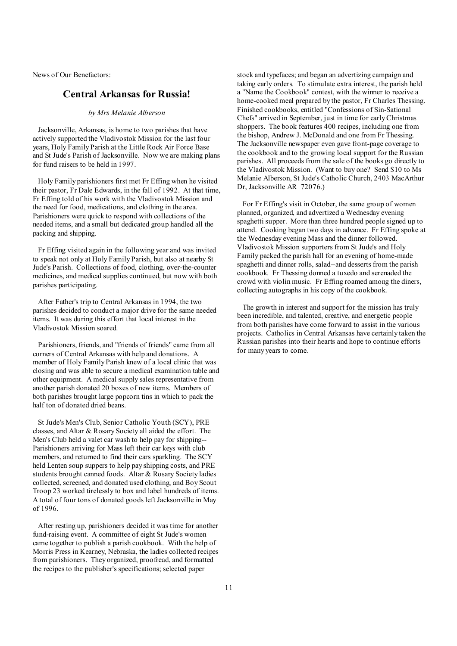News of Our Benefactors:

# **Central Arkansas for Russia!**

*by Mrs Melanie Alberson* 

Jacksonville, Arkansas, is home to two parishes that have actively supported the Vladivostok Mission for the last four years, Holy Family Parish at the Little Rock Air Force Base and St Jude's Parish of Jacksonville. Now we are making plans for fund raisers to be held in 1997.

Holy Family parishioners first met Fr Effing when he visited their pastor, Fr Dale Edwards, in the fall of 1992. At that time, Fr Effing told of his work with the Vladivostok Mission and the need for food, medications, and clothing in the area. Parishioners were quick to respond with collections of the needed items, and a small but dedicated group handled all the packing and shipping.

Fr Effing visited again in the following year and was invited to speak not only at Holy Family Parish, but also at nearby St Jude's Parish. Collections of food, clothing, over-the-counter medicines, and medical supplies continued, but now with both parishes participating.

After Father's trip to Central Arkansas in 1994, the two parishes decided to conduct a major drive for the same needed items. It was during this effort that local interest in the Vladivostok Mission soared.

Parishioners, friends, and "friends of friends" came from all corners of Central Arkansas with help and donations. A member of Holy Family Parish knew of a local clinic that was closing and was able to secure a medical examination table and other equipment. A medical supply sales representative from another parish donated 20 boxes of new items. Members of both parishes brought large popcorn tins in which to pack the half ton of donated dried beans.

St Jude's Men's Club, Senior Catholic Youth (SCY), PRE classes, and Altar & Rosary Society all aided the effort. The Men's Club held a valet car wash to help pay for shipping-- Parishioners arriving for Mass left their car keys with club members, and returned to find their cars sparkling. The SCY held Lenten soup suppers to help pay shipping costs, and PRE students brought canned foods. Altar & Rosary Society ladies collected, screened, and donated used clothing, and Boy Scout Troop 23 worked tirelessly to box and label hundreds of items. A total of four tons of donated goods left Jacksonville in May of 1996.

After resting up, parishioners decided it was time for another fund-raising event. A committee of eight St Jude's women came together to publish a parish cookbook. With the help of Morris Press in Kearney, Nebraska, the ladies collected recipes from parishioners. They organized, proofread, and formatted the recipes to the publisher's specifications; selected paper

stock and typefaces; and began an advertizing campaign and taking early orders. To stimulate extra interest, the parish held a "Name the Cookbook" contest, with the winner to receive a home-cooked meal prepared by the pastor, Fr Charles Thessing. Finished cookbooks, entitled "Confessions of Sin-Sational Chefs" arrived in September, just in time for early Christmas shoppers. The book features 400 recipes, including one from the bishop, Andrew J. McDonald and one from Fr Thessing. The Jacksonville newspaper even gave front-page coverage to the cookbook and to the growing local support for the Russian parishes. All proceeds from the sale of the books go directly to the Vladivostok Mission. (Want to buy one? Send \$10 to Ms Melanie Alberson, St Jude's Catholic Church, 2403 MacArthur Dr, Jacksonville AR 72076.)

 For Fr Effing's visit in October, the same group of women planned, organized, and advertized a Wednesday evening spaghetti supper. More than three hundred people signed up to attend. Cooking began two days in advance. Fr Effing spoke at the Wednesday evening Mass and the dinner followed. Vladivostok Mission supporters from St Jude's and Holy Family packed the parish hall for an evening of home-made spaghetti and dinner rolls, salad--and desserts from the parish cookbook. Fr Thessing donned a tuxedo and serenaded the crowd with violin music. Fr Effing roamed among the diners, collecting autographs in his copy of the cookbook.

 The growth in interest and support for the mission has truly been incredible, and talented, creative, and energetic people from both parishes have come forward to assist in the various projects. Catholics in Central Arkansas have certainly taken the Russian parishes into their hearts and hope to continue efforts for many years to come.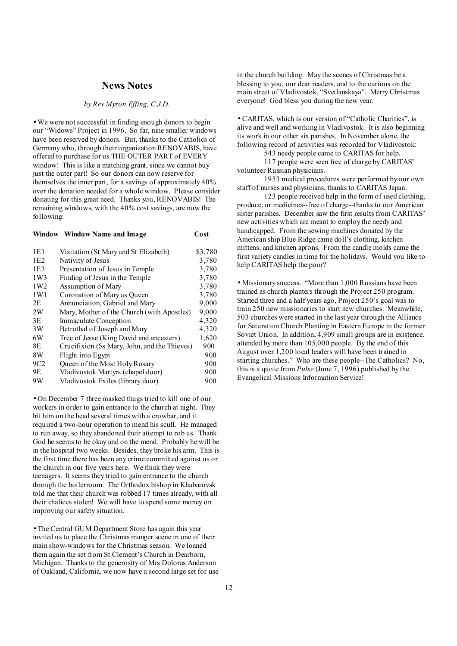### **News Notes**

#### *by Rev Myron Effing, C.J.D.*

• We were not successful in finding enough donors to begin our "Widows" Project in 1996. So far, nine smaller windows have been reserved by donors. But, thanks to the Catholics of Germany who, through their organization RENOVABIS, have offered to purchase for us THE OUTER PART of EVERY window! This is like a matching grant, since we cannot buy just the outer part! So our donors can now reserve for themselves the inner part, for a savings of approximately 40% over the donation needed for a whole window. Please consider donating for this great need. Thanks you, RENOVABIS! The remaining windows, with the 40% cost savings, are now the following:

**Window Window Name and Image Cost** 

| Visitation (St Mary and St Elizabeth)        | \$3,780 |
|----------------------------------------------|---------|
| Nativity of Jesus                            | 3,780   |
| Presentation of Jesus in Temple              | 3,780   |
| Finding of Jesus in the Temple               | 3,780   |
| Assumption of Mary                           | 3,780   |
| Coronation of Mary as Queen                  | 3,780   |
| Annunciation, Gabriel and Mary               | 9,000   |
| Mary, Mother of the Church (with Apostles)   | 9,000   |
| Immaculate Conception                        | 4,320   |
| Betrothal of Joseph and Mary                 | 4,320   |
| Tree of Jesse (King David and ancesters)     | 1,620   |
| Crucifixion (Ss Mary, John, and the Thieves) | 900     |
| Flight into Egypt                            | 900     |
| Queen of the Most Holy Rosary                | 900     |
| Vladivostok Martyrs (chapel door)            | 900     |
| Vladivostok Exiles (library door)            | 900     |
|                                              |         |

• On December 7 three masked thugs tried to kill one of our workers in order to gain entrance to the church at night. They hit him on the head several times with a crowbar, and it required a two-hour operation to mend his scull. He managed to run away, so they abandoned their attempt to rob us. Thank God he seems to be okay and on the mend. Probably he will be in the hospital two weeks. Besides, they broke his arm. This is the first time there has been any crime committed against us or the church in our five years here. We think they were teenagers. It seems they tried to gain entrance to the church through the boilerroom. The Orthodox bishop in Khabarovsk told me that their church was robbed 17 times already, with all their chalices stolen! We will have to spend some money on improving our safety situation.

• The Central GUM Department Store has again this year invited us to place the Christmas manger scene in one of their main show-windows for the Christmas season. We loaned them again the set from St Clement's Church in Dearborn, Michigan. Thanks to the generosity of Mrs Doloras Anderson of Oakland, California, we now have a second large set for use in the church building. May the scenes of Christmas be a blessing to you, our dear readers, and to the curious on the main street of Vladivostok, "Svetlanskaya". Merry Christmas everyone! God bless you during the new year.

• CARITAS, which is our version of "Catholic Charities", is alive and well and working in Vladivostok. It is also beginning its work in our other six parishes. In November alone, the following record of activities was recorded for Vladivostok:

543 needy people came to CARITAS for help.

117 people were seen free of charge by CARITAS' volunteer Russian physicians.

1953 medical procedures were performed by our own staff of nurses and physicians, thanks to CARITAS Japan.

123 people received help in the form of used clothing, produce, or medicines--free of charge--thanks to our American sister parishes. December saw the first results from CARITAS' new activities which are meant to employ the needy and handicapped. From the sewing machines donated by the American ship Blue Ridge came doll's clothing, kitchen mittens, and kitchen aprons. From the candle molds came the first variety candles in time for the holidays. Would you like to help CARITAS help the poor?

• Missionary success. "More than 1,000 Russians have been trained as church planters through the Project 250 program. Started three and a half years ago, Project 250's goal was to train 250 new missionaries to start new churches. Meanwhile, 503 churches were started in the last year through the Alliance for Saturation Church Planting in Eastern Europe in the former Soviet Union. In addition, 4,909 small groups are in existence, attended by more than 105,000 people. By the end of this August over 1,200 local leaders will have been trained in starting churches." Who are these people--The Catholics? No, this is a quote from *Pulse* (June 7, 1996) published by the Evangelical Missions Information Service!